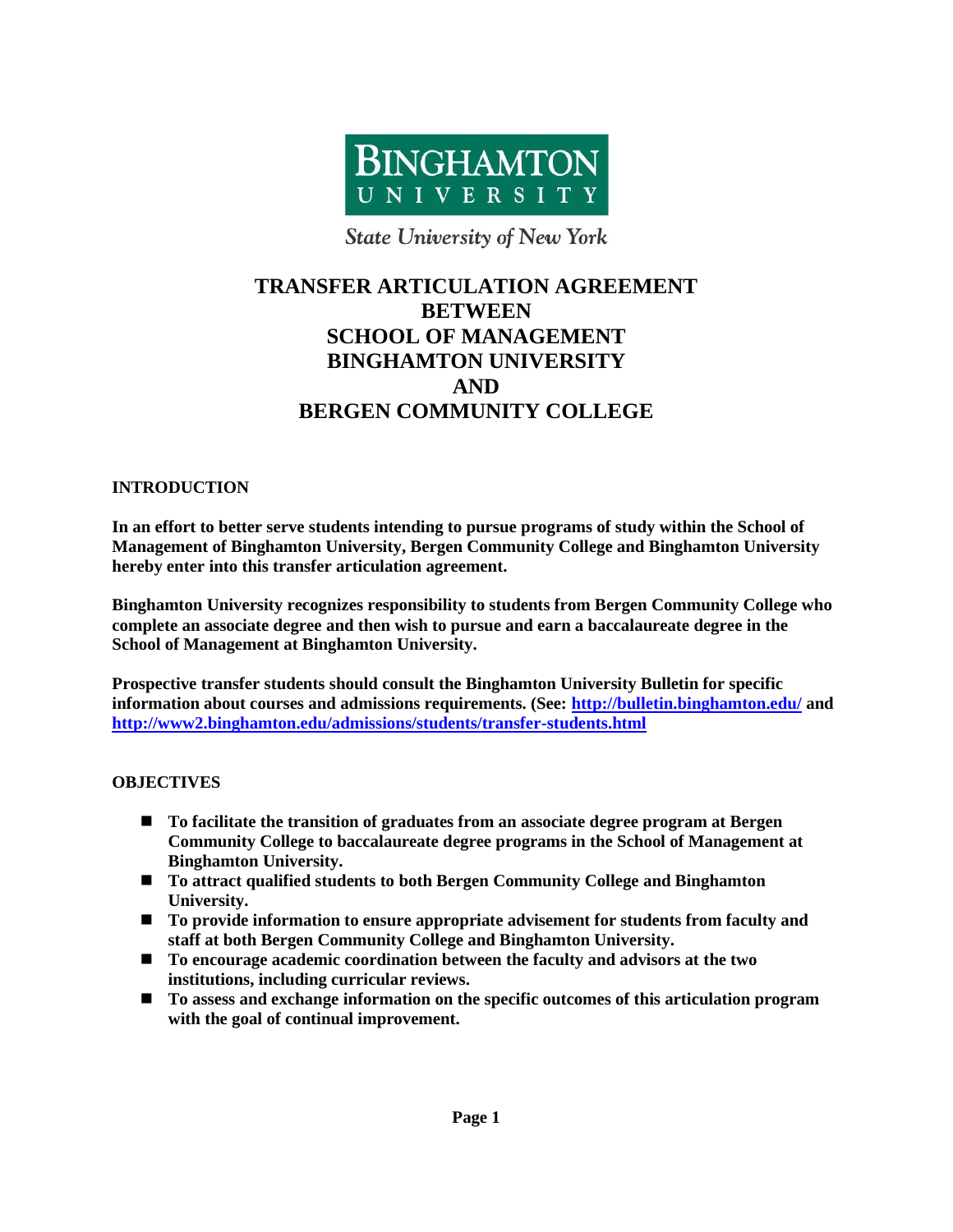

**State University of New York** 

# **TRANSFER ARTICULATION AGREEMENT BETWEEN SCHOOL OF MANAGEMENT BINGHAMTON UNIVERSITY AND BERGEN COMMUNITY COLLEGE**

### **INTRODUCTION**

**In an effort to better serve students intending to pursue programs of study within the School of Management of Binghamton University, Bergen Community College and Binghamton University hereby enter into this transfer articulation agreement.**

**Binghamton University recognizes responsibility to students from Bergen Community College who complete an associate degree and then wish to pursue and earn a baccalaureate degree in the School of Management at Binghamton University.**

**Prospective transfer students should consult the Binghamton University Bulletin for specific information about courses and admissions requirements. (See:<http://bulletin.binghamton.edu/> and <http://www2.binghamton.edu/admissions/students/transfer-students.html>**

### **OBJECTIVES**

- **To facilitate the transition of graduates from an associate degree program at Bergen Community College to baccalaureate degree programs in the School of Management at Binghamton University.**
- **To attract qualified students to both Bergen Community College and Binghamton University.**
- To provide information to ensure appropriate advisement for students from faculty and **staff at both Bergen Community College and Binghamton University.**
- **To encourage academic coordination between the faculty and advisors at the two institutions, including curricular reviews.**
- **To assess and exchange information on the specific outcomes of this articulation program with the goal of continual improvement.**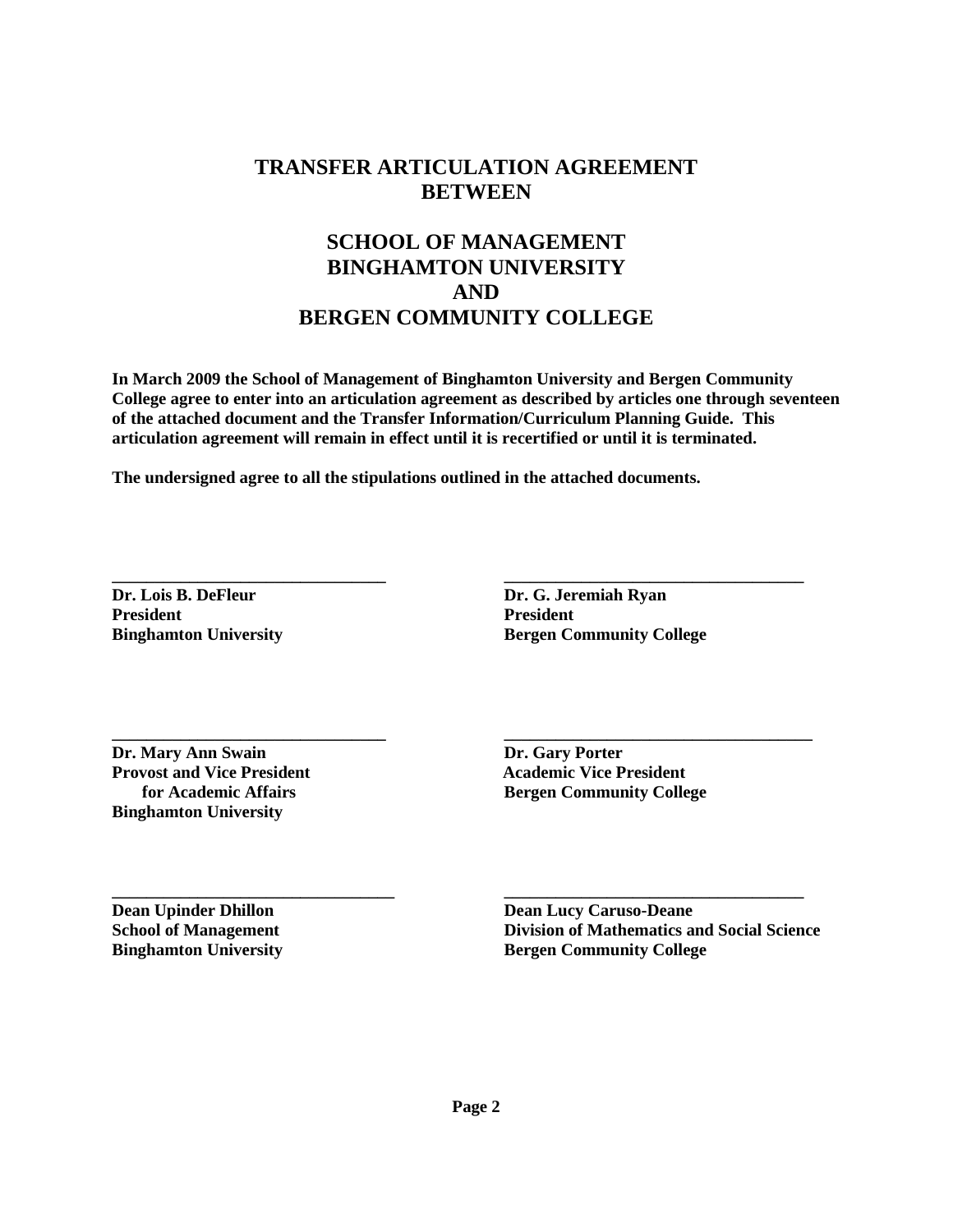## **TRANSFER ARTICULATION AGREEMENT BETWEEN**

## **SCHOOL OF MANAGEMENT BINGHAMTON UNIVERSITY AND BERGEN COMMUNITY COLLEGE**

**In March 2009 the School of Management of Binghamton University and Bergen Community College agree to enter into an articulation agreement as described by articles one through seventeen of the attached document and the Transfer Information/Curriculum Planning Guide. This articulation agreement will remain in effect until it is recertified or until it is terminated.**

**\_\_\_\_\_\_\_\_\_\_\_\_\_\_\_\_\_\_\_\_\_\_\_\_\_\_\_\_\_\_\_\_ \_\_\_\_\_\_\_\_\_\_\_\_\_\_\_\_\_\_\_\_\_\_\_\_\_\_\_\_\_\_\_\_\_\_\_\_**

**The undersigned agree to all the stipulations outlined in the attached documents.**

**\_\_\_\_\_\_\_\_\_\_\_\_\_\_\_\_\_\_\_\_\_\_\_\_\_\_\_\_\_\_\_\_ \_\_\_\_\_\_\_\_\_\_\_\_\_\_\_\_\_\_\_\_\_\_\_\_\_\_\_\_\_\_\_\_\_\_\_ Dr. Lois B. DeFleur Dr. G. Jeremiah Ryan President President**

**Binghamton University Bergen Community College** 

**Dr. Mary Ann Swain Dr. Gary Porter Provost and Vice President 1996 100 Provost and Vice President 100 Provost and Vice President Binghamton University**

 **for Academic Affairs Bergen Community College**

**\_\_\_\_\_\_\_\_\_\_\_\_\_\_\_\_\_\_\_\_\_\_\_\_\_\_\_\_\_\_\_\_\_ \_\_\_\_\_\_\_\_\_\_\_\_\_\_\_\_\_\_\_\_\_\_\_\_\_\_\_\_\_\_\_\_\_\_\_ Dean Upinder Dhillon Dean Lucy Caruso-Deane School of Management Division of Mathematics and Social Science Binghamton University Bergen Community College**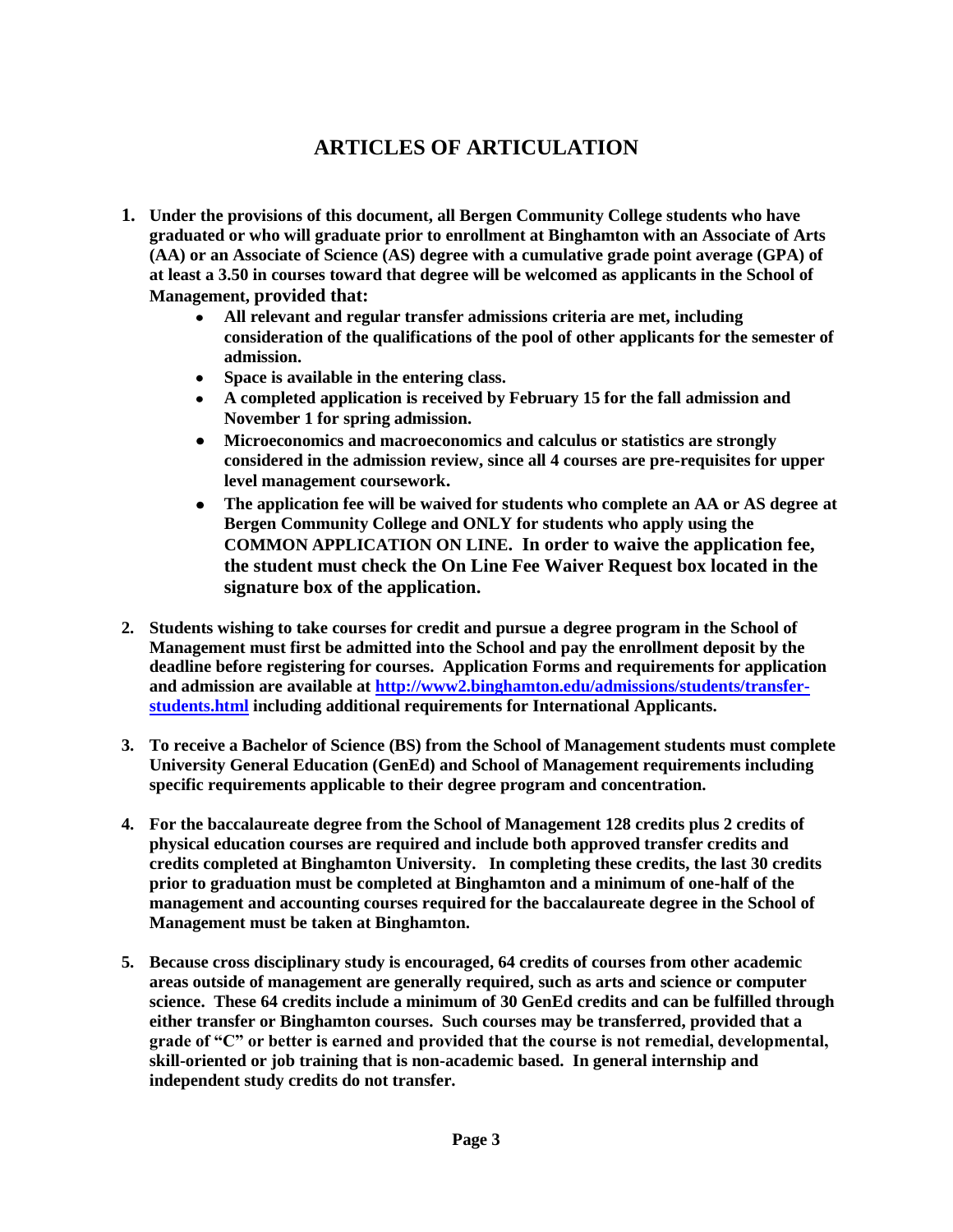# **ARTICLES OF ARTICULATION**

- **1. Under the provisions of this document, all Bergen Community College students who have graduated or who will graduate prior to enrollment at Binghamton with an Associate of Arts (AA) or an Associate of Science (AS) degree with a cumulative grade point average (GPA) of at least a 3.50 in courses toward that degree will be welcomed as applicants in the School of Management, provided that:** 
	- **All relevant and regular transfer admissions criteria are met, including**   $\bullet$ **consideration of the qualifications of the pool of other applicants for the semester of admission.**
	- **Space is available in the entering class.**
	- **A completed application is received by February 15 for the fall admission and November 1 for spring admission.**
	- **Microeconomics and macroeconomics and calculus or statistics are strongly**   $\bullet$ **considered in the admission review, since all 4 courses are pre-requisites for upper level management coursework.**
	- $\bullet$ **The application fee will be waived for students who complete an AA or AS degree at Bergen Community College and ONLY for students who apply using the COMMON APPLICATION ON LINE. In order to waive the application fee, the student must check the On Line Fee Waiver Request box located in the signature box of the application.**
- **2. Students wishing to take courses for credit and pursue a degree program in the School of Management must first be admitted into the School and pay the enrollment deposit by the deadline before registering for courses. Application Forms and requirements for application and admission are available at [http://www2.binghamton.edu/admissions/students/transfer](http://www2.binghamton.edu/admissions/students/transfer-students.html)[students.html](http://www2.binghamton.edu/admissions/students/transfer-students.html) including additional requirements for International Applicants.**
- **3. To receive a Bachelor of Science (BS) from the School of Management students must complete University General Education (GenEd) and School of Management requirements including specific requirements applicable to their degree program and concentration.**
- **4. For the baccalaureate degree from the School of Management 128 credits plus 2 credits of physical education courses are required and include both approved transfer credits and credits completed at Binghamton University. In completing these credits, the last 30 credits prior to graduation must be completed at Binghamton and a minimum of one-half of the management and accounting courses required for the baccalaureate degree in the School of Management must be taken at Binghamton.**
- **5. Because cross disciplinary study is encouraged, 64 credits of courses from other academic areas outside of management are generally required, such as arts and science or computer science. These 64 credits include a minimum of 30 GenEd credits and can be fulfilled through either transfer or Binghamton courses. Such courses may be transferred, provided that a grade of "C" or better is earned and provided that the course is not remedial, developmental, skill-oriented or job training that is non-academic based. In general internship and independent study credits do not transfer.**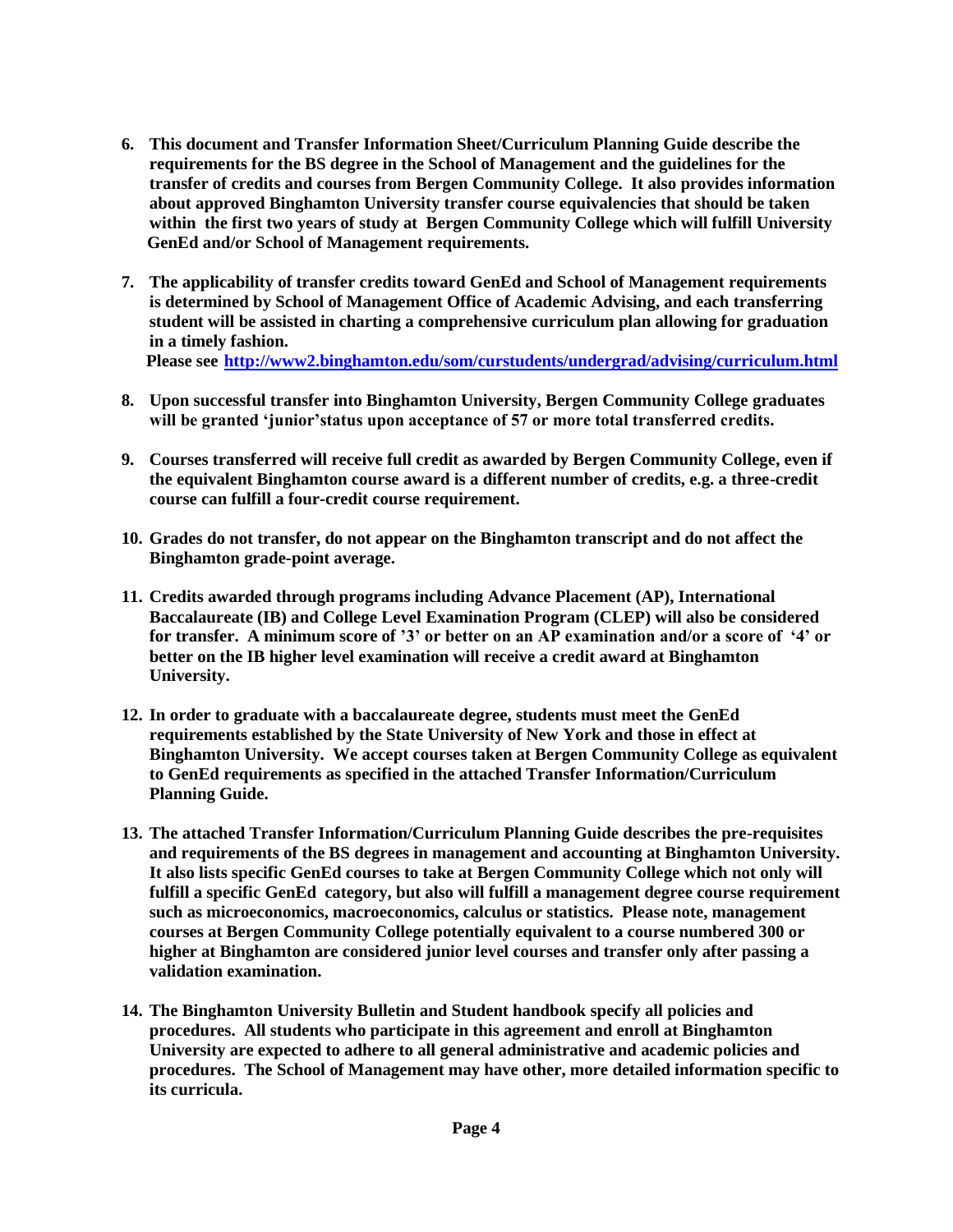- **6. This document and Transfer Information Sheet/Curriculum Planning Guide describe the requirements for the BS degree in the School of Management and the guidelines for the transfer of credits and courses from Bergen Community College. It also provides information about approved Binghamton University transfer course equivalencies that should be taken within the first two years of study at Bergen Community College which will fulfill University GenEd and/or School of Management requirements.**
- **7. The applicability of transfer credits toward GenEd and School of Management requirements is determined by School of Management Office of Academic Advising, and each transferring student will be assisted in charting a comprehensive curriculum plan allowing for graduation in a timely fashion.**

 **Please see <http://www2.binghamton.edu/som/curstudents/undergrad/advising/curriculum.html>**

- **8. Upon successful transfer into Binghamton University, Bergen Community College graduates will be granted "junior"status upon acceptance of 57 or more total transferred credits.**
- **9. Courses transferred will receive full credit as awarded by Bergen Community College, even if the equivalent Binghamton course award is a different number of credits, e.g. a three-credit course can fulfill a four-credit course requirement.**
- **10. Grades do not transfer, do not appear on the Binghamton transcript and do not affect the Binghamton grade-point average.**
- **11. Credits awarded through programs including Advance Placement (AP), International Baccalaureate (IB) and College Level Examination Program (CLEP) will also be considered for transfer. A minimum score of "3" or better on an AP examination and/or a score of "4" or better on the IB higher level examination will receive a credit award at Binghamton University.**
- **12. In order to graduate with a baccalaureate degree, students must meet the GenEd requirements established by the State University of New York and those in effect at Binghamton University. We accept courses taken at Bergen Community College as equivalent to GenEd requirements as specified in the attached Transfer Information/Curriculum Planning Guide.**
- **13. The attached Transfer Information/Curriculum Planning Guide describes the pre-requisites and requirements of the BS degrees in management and accounting at Binghamton University. It also lists specific GenEd courses to take at Bergen Community College which not only will fulfill a specific GenEd category, but also will fulfill a management degree course requirement such as microeconomics, macroeconomics, calculus or statistics. Please note, management courses at Bergen Community College potentially equivalent to a course numbered 300 or higher at Binghamton are considered junior level courses and transfer only after passing a validation examination.**
- **14. The Binghamton University Bulletin and Student handbook specify all policies and procedures. All students who participate in this agreement and enroll at Binghamton University are expected to adhere to all general administrative and academic policies and procedures. The School of Management may have other, more detailed information specific to its curricula.**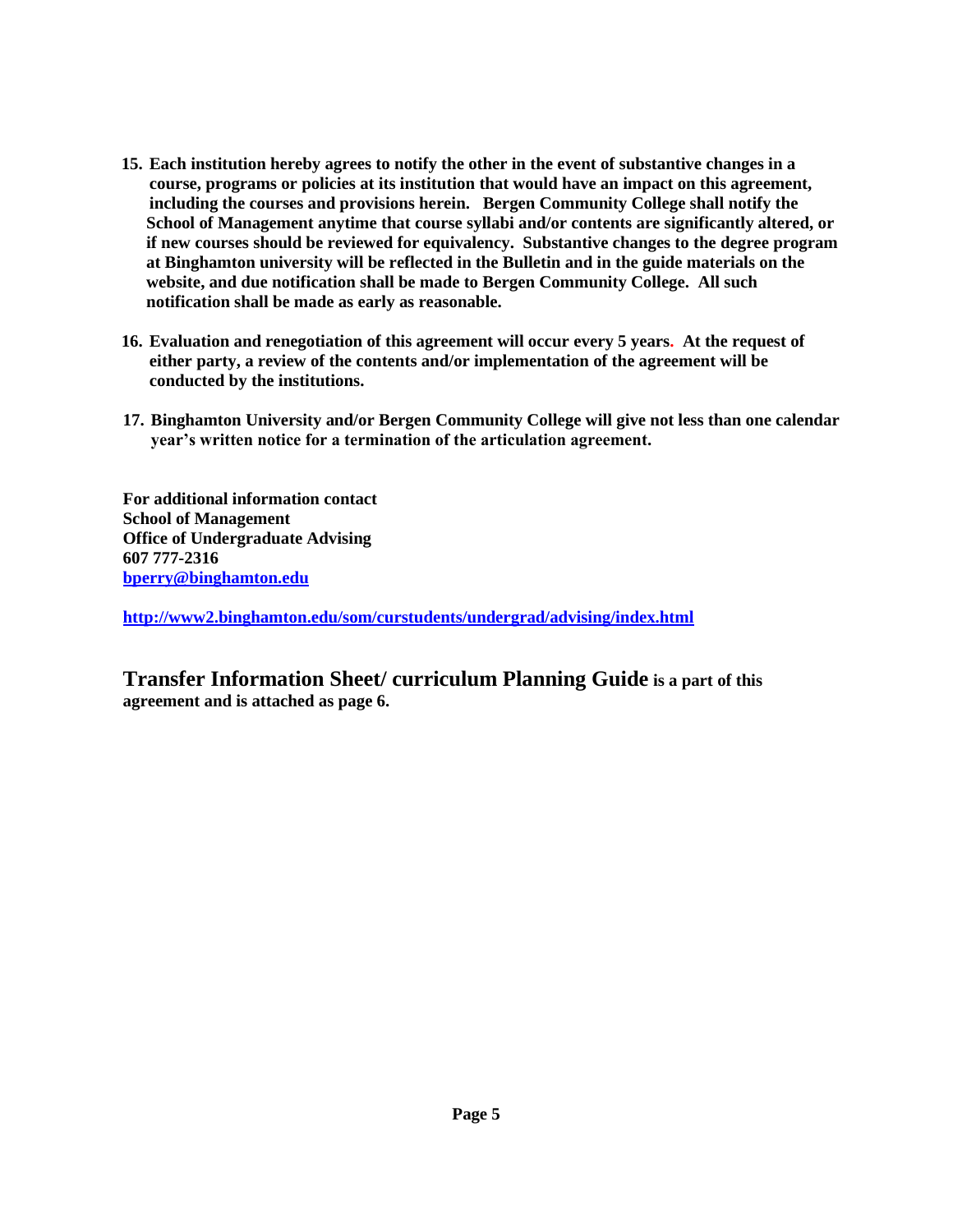- **15. Each institution hereby agrees to notify the other in the event of substantive changes in a course, programs or policies at its institution that would have an impact on this agreement, including the courses and provisions herein. Bergen Community College shall notify the School of Management anytime that course syllabi and/or contents are significantly altered, or if new courses should be reviewed for equivalency. Substantive changes to the degree program at Binghamton university will be reflected in the Bulletin and in the guide materials on the website, and due notification shall be made to Bergen Community College. All such notification shall be made as early as reasonable.**
- **16. Evaluation and renegotiation of this agreement will occur every 5 years. At the request of either party, a review of the contents and/or implementation of the agreement will be conducted by the institutions.**
- **17. Binghamton University and/or Bergen Community College will give not less than one calendar year"s written notice for a termination of the articulation agreement.**

**For additional information contact School of Management Office of Undergraduate Advising 607 777-2316 [bperry@binghamton.edu](mailto:bperry@binghamton.edu)**

**<http://www2.binghamton.edu/som/curstudents/undergrad/advising/index.html>**

**Transfer Information Sheet/ curriculum Planning Guide is a part of this agreement and is attached as page 6.**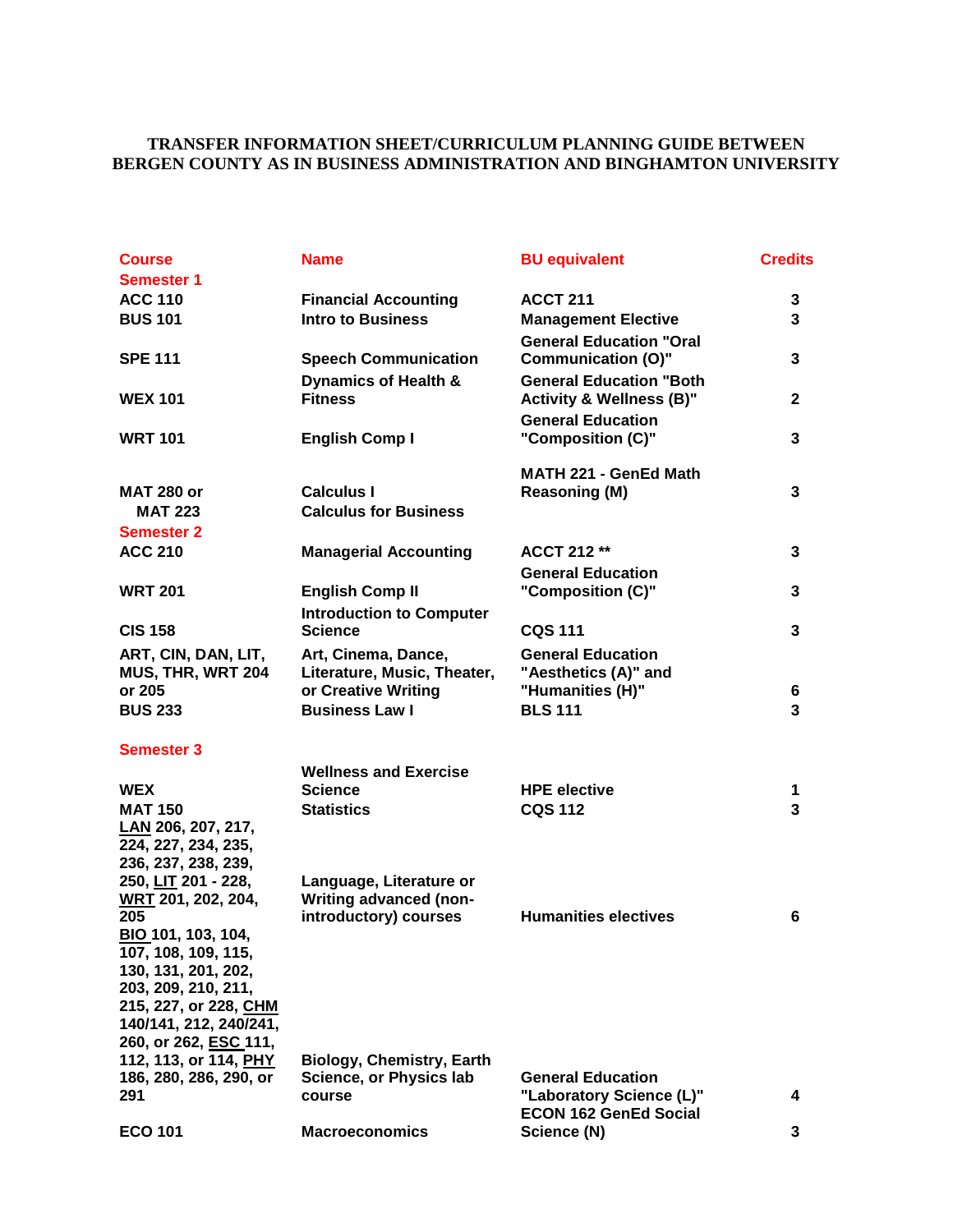### **TRANSFER INFORMATION SHEET/CURRICULUM PLANNING GUIDE BETWEEN BERGEN COUNTY AS IN BUSINESS ADMINISTRATION AND BINGHAMTON UNIVERSITY**

| <b>Course</b>                                   | <b>Name</b>                      | <b>BU equivalent</b>                                        | <b>Credits</b> |
|-------------------------------------------------|----------------------------------|-------------------------------------------------------------|----------------|
| <b>Semester 1</b>                               |                                  |                                                             |                |
| <b>ACC 110</b>                                  | <b>Financial Accounting</b>      | <b>ACCT 211</b>                                             | 3              |
| <b>BUS 101</b>                                  | <b>Intro to Business</b>         | <b>Management Elective</b>                                  | 3              |
| <b>SPE 111</b>                                  | <b>Speech Communication</b>      | <b>General Education "Oral</b><br><b>Communication (O)"</b> | 3              |
|                                                 | <b>Dynamics of Health &amp;</b>  | <b>General Education "Both</b>                              |                |
| <b>WEX 101</b>                                  | <b>Fitness</b>                   | <b>Activity &amp; Wellness (B)"</b>                         | $\mathbf{2}$   |
|                                                 |                                  | <b>General Education</b>                                    |                |
| <b>WRT 101</b>                                  | <b>English Comp I</b>            | "Composition (C)"                                           | 3              |
|                                                 |                                  | MATH 221 - GenEd Math                                       |                |
| <b>MAT 280 or</b>                               | <b>Calculus I</b>                | Reasoning (M)                                               | 3              |
| <b>MAT 223</b>                                  | <b>Calculus for Business</b>     |                                                             |                |
| <b>Semester 2</b>                               |                                  |                                                             |                |
| <b>ACC 210</b>                                  | <b>Managerial Accounting</b>     | <b>ACCT 212 **</b>                                          | 3              |
|                                                 |                                  | <b>General Education</b>                                    |                |
| <b>WRT 201</b>                                  | <b>English Comp II</b>           | "Composition (C)"                                           | 3              |
|                                                 | <b>Introduction to Computer</b>  |                                                             |                |
| <b>CIS 158</b>                                  | <b>Science</b>                   | <b>CQS 111</b>                                              | 3              |
| ART, CIN, DAN, LIT,                             | Art, Cinema, Dance,              | <b>General Education</b>                                    |                |
| MUS, THR, WRT 204                               | Literature, Music, Theater,      | "Aesthetics (A)" and                                        |                |
| or 205                                          | or Creative Writing              | "Humanities (H)"                                            | 6              |
| <b>BUS 233</b>                                  | <b>Business Law I</b>            | <b>BLS 111</b>                                              | 3              |
| <b>Semester 3</b>                               |                                  |                                                             |                |
|                                                 | <b>Wellness and Exercise</b>     |                                                             |                |
| <b>WEX</b>                                      | <b>Science</b>                   | <b>HPE elective</b>                                         | 1              |
| <b>MAT 150</b>                                  | <b>Statistics</b>                | <b>CQS 112</b>                                              | 3              |
| LAN 206, 207, 217,<br>224, 227, 234, 235,       |                                  |                                                             |                |
| 236, 237, 238, 239,                             |                                  |                                                             |                |
| 250, LIT 201 - 228,                             | Language, Literature or          |                                                             |                |
| WRT 201, 202, 204,                              | <b>Writing advanced (non-</b>    |                                                             |                |
| 205                                             | introductory) courses            | <b>Humanities electives</b>                                 | 6              |
| BIO 101, 103, 104,                              |                                  |                                                             |                |
| 107, 108, 109, 115,                             |                                  |                                                             |                |
| 130, 131, 201, 202,                             |                                  |                                                             |                |
| 203, 209, 210, 211,                             |                                  |                                                             |                |
| 215, 227, or 228, CHM<br>140/141, 212, 240/241, |                                  |                                                             |                |
| 260, or 262, ESC 111,                           |                                  |                                                             |                |
| 112, 113, or 114, PHY                           | <b>Biology, Chemistry, Earth</b> |                                                             |                |
| 186, 280, 286, 290, or                          | <b>Science, or Physics lab</b>   | <b>General Education</b>                                    |                |
| 291                                             | course                           | "Laboratory Science (L)"                                    | 4              |
|                                                 |                                  | <b>ECON 162 GenEd Social</b>                                |                |
| <b>ECO 101</b>                                  | <b>Macroeconomics</b>            | Science (N)                                                 | 3              |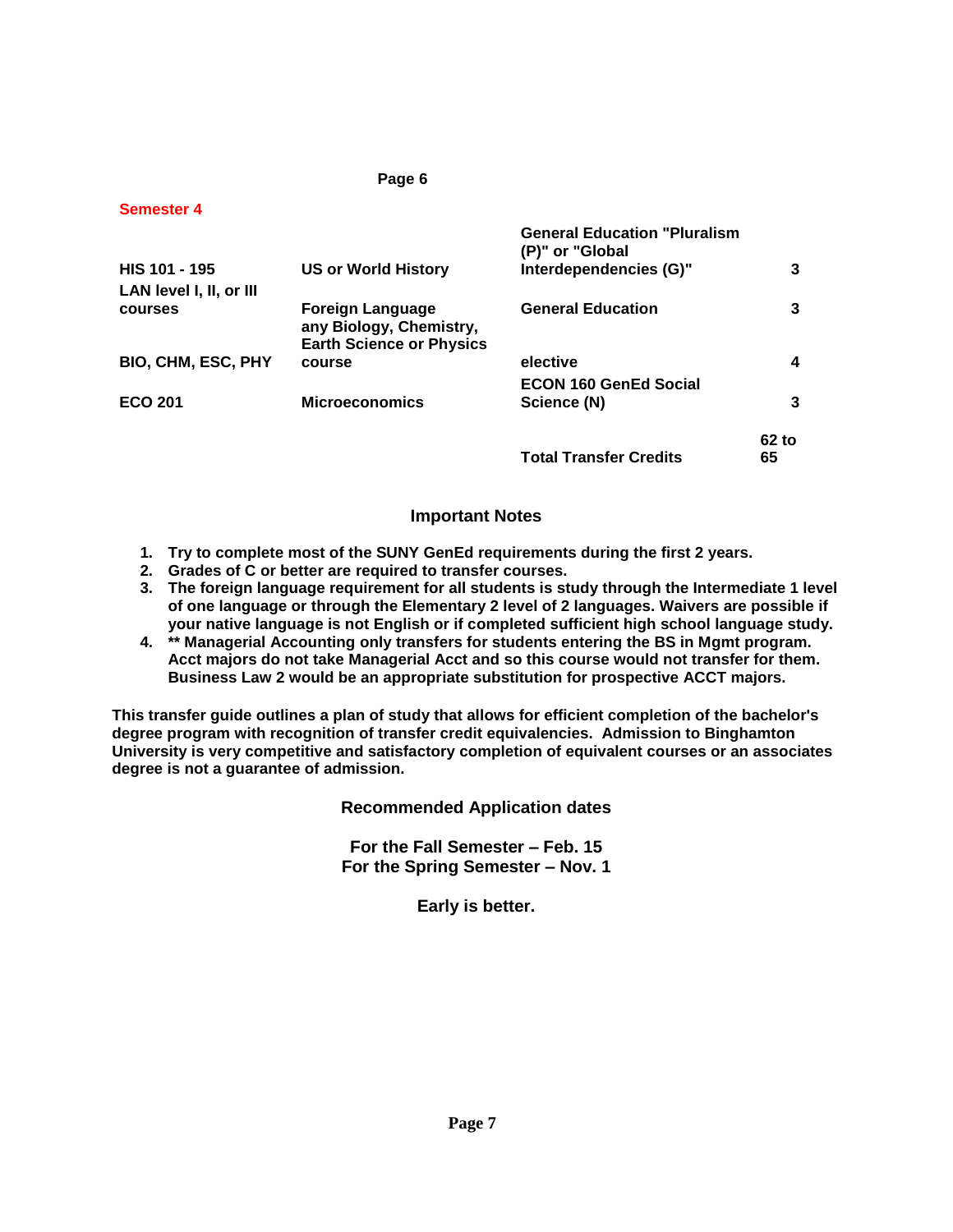| <b>Semester 4</b>         |                                                                                |                                                         |       |
|---------------------------|--------------------------------------------------------------------------------|---------------------------------------------------------|-------|
|                           |                                                                                | <b>General Education "Pluralism"</b><br>(P)" or "Global |       |
| HIS 101 - 195             | <b>US or World History</b>                                                     | Interdependencies (G)"                                  | 3     |
| LAN level I, II, or III   |                                                                                |                                                         |       |
| courses                   | Foreign Language<br>any Biology, Chemistry,<br><b>Earth Science or Physics</b> | <b>General Education</b>                                | 3     |
| <b>BIO, CHM, ESC, PHY</b> | course                                                                         | elective                                                | 4     |
|                           |                                                                                | <b>ECON 160 GenEd Social</b>                            |       |
| <b>ECO 201</b>            | <b>Microeconomics</b>                                                          | Science (N)                                             | 3     |
|                           |                                                                                |                                                         | 62 to |
|                           |                                                                                | <b>Total Transfer Credits</b>                           | 65    |
|                           |                                                                                |                                                         |       |

**Page 6**

#### **Important Notes**

- **1. Try to complete most of the SUNY GenEd requirements during the first 2 years.**
- **2. Grades of C or better are required to transfer courses.**
- **3. The foreign language requirement for all students is study through the Intermediate 1 level of one language or through the Elementary 2 level of 2 languages. Waivers are possible if your native language is not English or if completed sufficient high school language study.**
- **4. \*\* Managerial Accounting only transfers for students entering the BS in Mgmt program. Acct majors do not take Managerial Acct and so this course would not transfer for them. Business Law 2 would be an appropriate substitution for prospective ACCT majors.**

**This transfer guide outlines a plan of study that allows for efficient completion of the bachelor's degree program with recognition of transfer credit equivalencies. Admission to Binghamton University is very competitive and satisfactory completion of equivalent courses or an associates degree is not a guarantee of admission.** 

**Recommended Application dates**

**For the Fall Semester – Feb. 15 For the Spring Semester – Nov. 1**

**Early is better.**